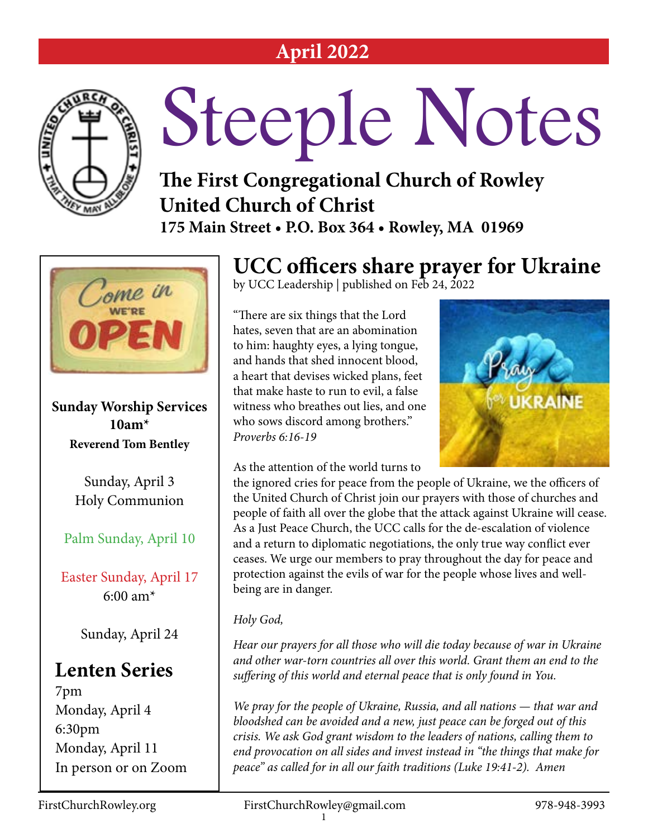#### **April 2022**



# Steeple Notes

#### **The First Congregational Church of Rowley United Church of Christ 175 Main Street • P.O. Box 364 • Rowley, MA 01969**



**Sunday Worship Services 10am\* Reverend Tom Bentley**

> Sunday, April 3 Holy Communion

Palm Sunday, April 10

Easter Sunday, April 17 6:00 am\*

Sunday, April 24

#### **Lenten Series**

7pm Monday, April 4 6:30pm Monday, April 11 In person or on Zoom

#### **UCC officers share prayer for Ukraine** by UCC Leadership | published on Feb 24, 2022

"There are six things that the Lord hates, seven that are an abomination to him: haughty eyes, a lying tongue, and hands that shed innocent blood, a heart that devises wicked plans, feet that make haste to run to evil, a false witness who breathes out lies, and one who sows discord among brothers." *Proverbs 6:16-19* 

As the attention of the world turns to



the ignored cries for peace from the people of Ukraine, we the officers of the United Church of Christ join our prayers with those of churches and people of faith all over the globe that the attack against Ukraine will cease. As a Just Peace Church, the UCC calls for the de-escalation of violence and a return to diplomatic negotiations, the only true way conflict ever ceases. We urge our members to pray throughout the day for peace and protection against the evils of war for the people whose lives and wellbeing are in danger.

#### *Holy God,*

*Hear our prayers for all those who will die today because of war in Ukraine and other war-torn countries all over this world. Grant them an end to the suffering of this world and eternal peace that is only found in You.* 

*We pray for the people of Ukraine, Russia, and all nations — that war and bloodshed can be avoided and a new, just peace can be forged out of this crisis. We ask God grant wisdom to the leaders of nations, calling them to end provocation on all sides and invest instead in "the things that make for peace" as called for in all our faith traditions (Luke 19:41-2). Amen*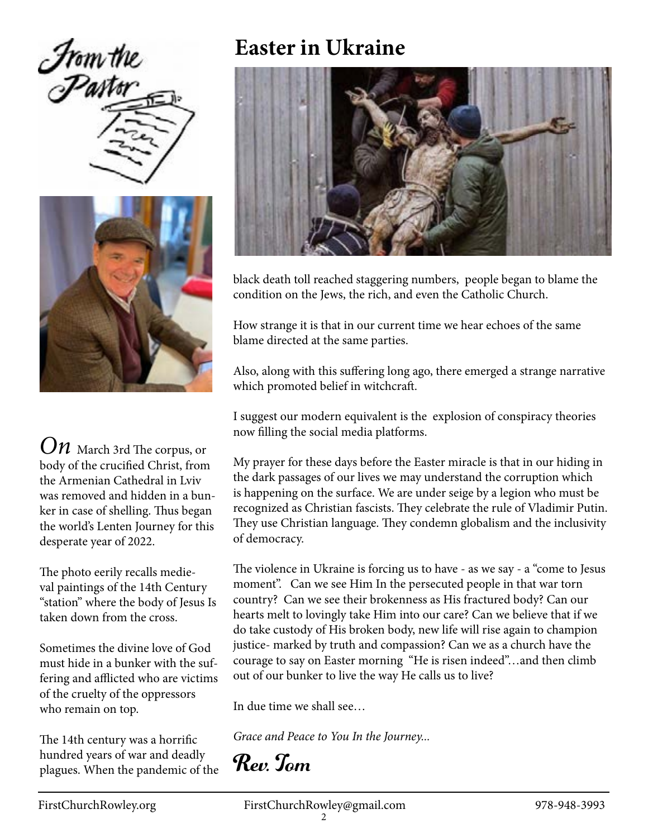



*On* March 3rd The corpus, or body of the crucified Christ, from the Armenian Cathedral in Lviv was removed and hidden in a bunker in case of shelling. Thus began the world's Lenten Journey for this desperate year of 2022.

The photo eerily recalls medieval paintings of the 14th Century "station" where the body of Jesus Is taken down from the cross.

Sometimes the divine love of God must hide in a bunker with the suffering and afflicted who are victims of the cruelty of the oppressors who remain on top.

The 14th century was a horrific hundred years of war and deadly plagues. When the pandemic of the

#### **Easter in Ukraine**



black death toll reached staggering numbers, people began to blame the condition on the Jews, the rich, and even the Catholic Church.

How strange it is that in our current time we hear echoes of the same blame directed at the same parties.

Also, along with this suffering long ago, there emerged a strange narrative which promoted belief in witchcraft.

I suggest our modern equivalent is the explosion of conspiracy theories now filling the social media platforms.

My prayer for these days before the Easter miracle is that in our hiding in the dark passages of our lives we may understand the corruption which is happening on the surface. We are under seige by a legion who must be recognized as Christian fascists. They celebrate the rule of Vladimir Putin. They use Christian language. They condemn globalism and the inclusivity of democracy.

The violence in Ukraine is forcing us to have - as we say - a "come to Jesus moment". Can we see Him In the persecuted people in that war torn country? Can we see their brokenness as His fractured body? Can our hearts melt to lovingly take Him into our care? Can we believe that if we do take custody of His broken body, new life will rise again to champion justice- marked by truth and compassion? Can we as a church have the courage to say on Easter morning "He is risen indeed"…and then climb out of our bunker to live the way He calls us to live?

In due time we shall see…

*Grace and Peace to You In the Journey...*

Rev. Tom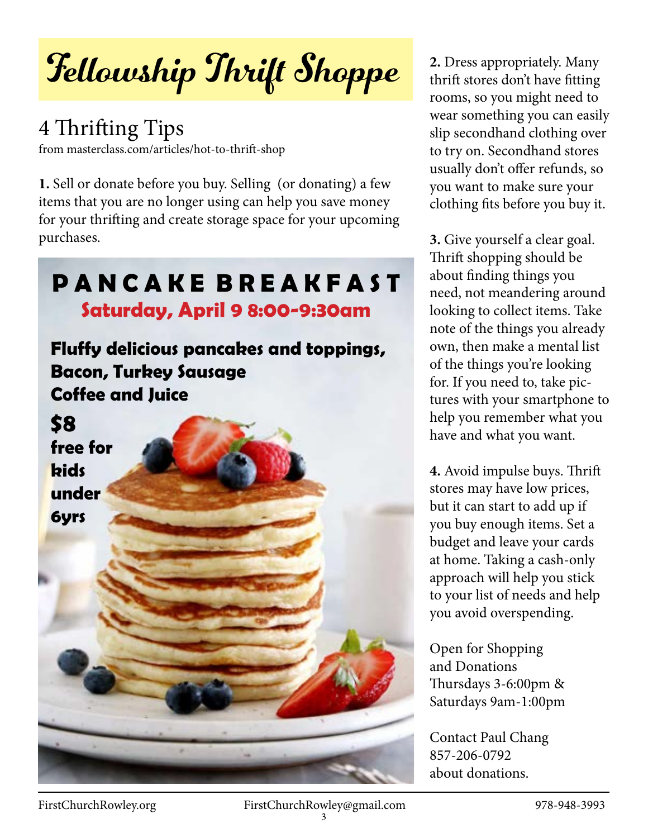## Fellowship Thrift Shoppe

#### 4 Thrifting Tips

from masterclass.com/articles/hot-to-thrift-shop

**1.** Sell or donate before you buy. Selling (or donating) a few items that you are no longer using can help you save money for your thrifting and create storage space for your upcoming purchases.

#### **P A N C A K E B R E A K F A S T Saturday, April 9 8:00-9:30am**

**Fluffy delicious pancakes and toppings, Bacon, Turkey Sausage Coffee and Juice**

**\$8 free for kids under**

**6yrs**

**2.** Dress appropriately. Many thrift stores don't have fitting rooms, so you might need to wear something you can easily slip secondhand clothing over to try on. Secondhand stores usually don't offer refunds, so you want to make sure your clothing fits before you buy it.

**3.** Give yourself a clear goal. Thrift shopping should be about finding things you need, not meandering around looking to collect items. Take note of the things you already own, then make a mental list of the things you're looking for. If you need to, take pictures with your smartphone to help you remember what you have and what you want.

**4.** Avoid impulse buys. Thrift stores may have low prices, but it can start to add up if you buy enough items. Set a budget and leave your cards at home. Taking a cash-only approach will help you stick to your list of needs and help you avoid overspending.

Open for Shopping and Donations Thursdays 3-6:00pm & Saturdays 9am-1:00pm

Contact Paul Chang 857-206-0792 about donations.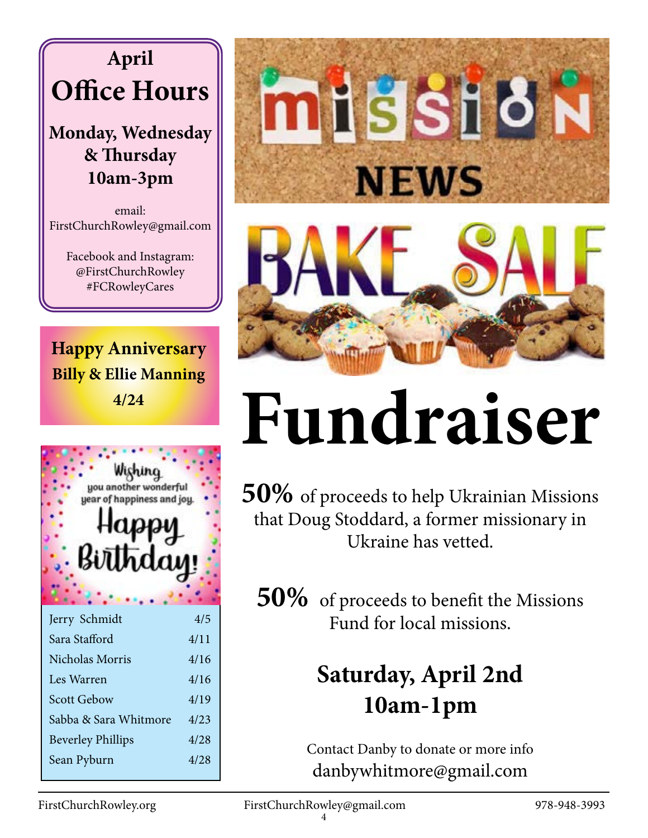### **April Office Hours**

#### **Monday, Wednesday & Thursday 10am-3pm**

email: FirstChurchRowley@gmail.com

> Facebook and Instagram: @FirstChurchRowley #FCRowleyCares

**Happy Anniversary Billy & Ellie Manning 4/24**



| Jerry Schmidt            | 4/5  |
|--------------------------|------|
| Sara Stafford            | 4/11 |
| Nicholas Morris          | 4/16 |
| Les Warren               | 4/16 |
| <b>Scott Gebow</b>       | 4/19 |
| Sabba & Sara Whitmore    | 4/23 |
| <b>Beverley Phillips</b> | 4/28 |
| Sean Pyburn              | 4/28 |
|                          |      |



## **Fundraiser**

**50%** of proceeds to help Ukrainian Missions that Doug Stoddard, a former missionary in Ukraine has vetted.

**50%** of proceeds to benefit the Missions Fund for local missions.

### **Saturday, April 2nd 10am-1pm**

Contact Danby to donate or more info danbywhitmore@gmail.com

FirstChurchRowley.org FirstChurchRowley@gmail.com 978-948-3993 4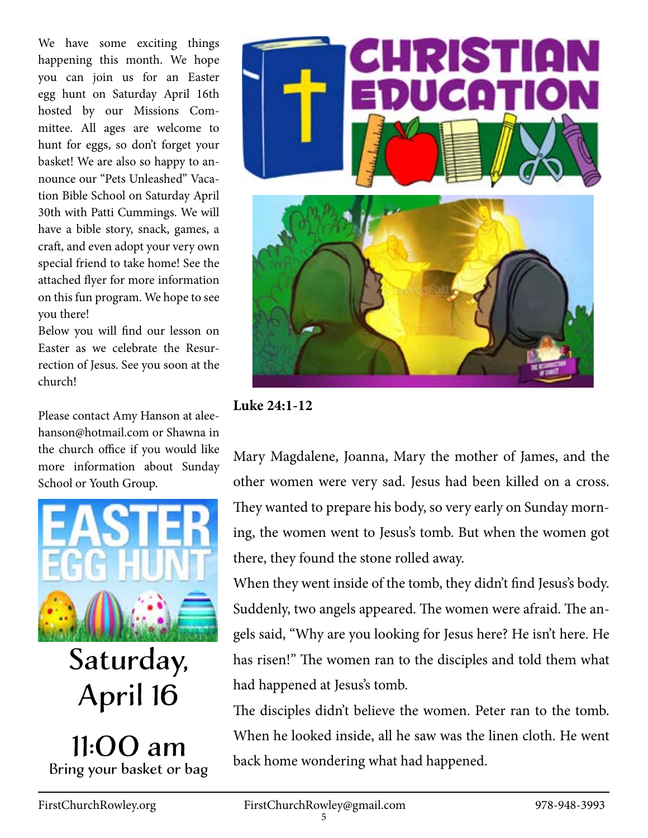We have some exciting things happening this month. We hope you can join us for an Easter egg hunt on Saturday April 16th hosted by our Missions Committee. All ages are welcome to hunt for eggs, so don't forget your basket! We are also so happy to announce our "Pets Unleashed" Vacation Bible School on Saturday April 30th with Patti Cummings. We will have a bible story, snack, games, a craft, and even adopt your very own special friend to take home! See the attached flyer for more information on this fun program. We hope to see you there!

Below you will find our lesson on Easter as we celebrate the Resurrection of Jesus. See you soon at the church!

Please contact Amy Hanson at aleehanson@hotmail.com or Shawna in the church office if you would like more information about Sunday School or Youth Group.



Saturday, April 16

11:00 am Bring your basket or bag



**Luke 24:1-12**

Mary Magdalene, Joanna, Mary the mother of James, and the other women were very sad. Jesus had been killed on a cross. They wanted to prepare his body, so very early on Sunday morning, the women went to Jesus's tomb. But when the women got there, they found the stone rolled away.

When they went inside of the tomb, they didn't find Jesus's body. Suddenly, two angels appeared. The women were afraid. The angels said, "Why are you looking for Jesus here? He isn't here. He has risen!" The women ran to the disciples and told them what had happened at Jesus's tomb.

The disciples didn't believe the women. Peter ran to the tomb. When he looked inside, all he saw was the linen cloth. He went back home wondering what had happened.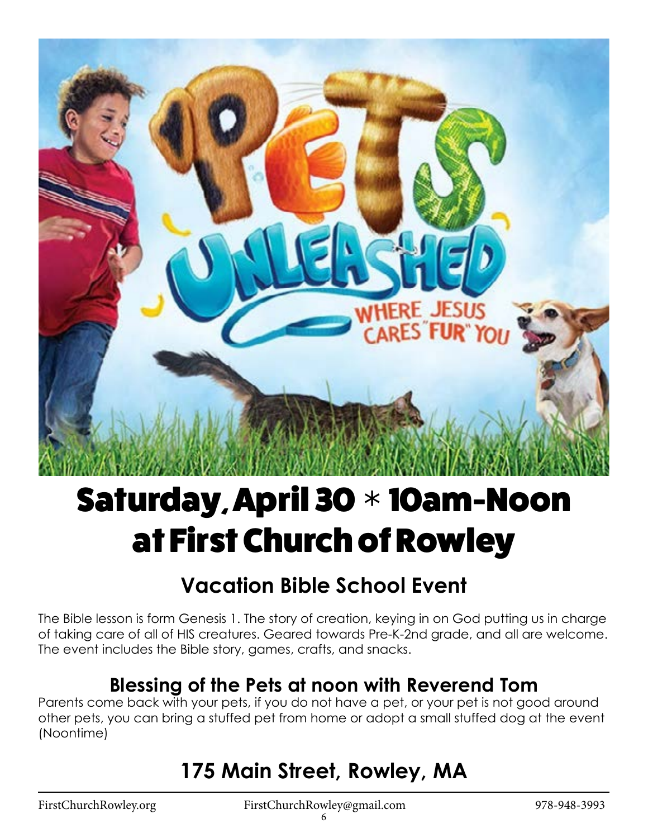

## Saturday, April 30 **\*** 10am-Noon at First Church of Rowley

#### **Vacation Bible School Event**

The Bible lesson is form Genesis 1. The story of creation, keying in on God putting us in charge of taking care of all of HIS creatures. Geared towards Pre-K-2nd grade, and all are welcome. The event includes the Bible story, games, crafts, and snacks.

#### **Blessing of the Pets at noon with Reverend Tom**

Parents come back with your pets, if you do not have a pet, or your pet is not good around other pets, you can bring a stuffed pet from home or adopt a small stuffed dog at the event (Noontime)

#### **175 Main Street, Rowley, MA**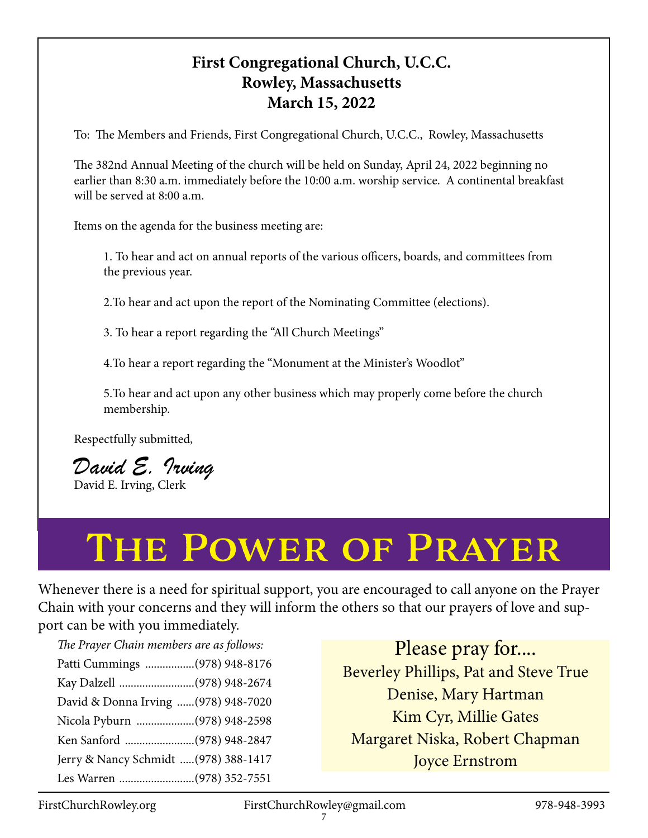#### **First Congregational Church, U.C.C. Rowley, Massachusetts March 15, 2022**

To: The Members and Friends, First Congregational Church, U.C.C., Rowley, Massachusetts

The 382nd Annual Meeting of the church will be held on Sunday, April 24, 2022 beginning no earlier than 8:30 a.m. immediately before the 10:00 a.m. worship service. A continental breakfast will be served at 8:00 a.m.

Items on the agenda for the business meeting are:

1. To hear and act on annual reports of the various officers, boards, and committees from the previous year.

2.To hear and act upon the report of the Nominating Committee (elections).

3. To hear a report regarding the "All Church Meetings"

4.To hear a report regarding the "Monument at the Minister's Woodlot"

5.To hear and act upon any other business which may properly come before the church membership.

Respectfully submitted,

*David E. Irving* David E. Irving, Clerk

## The Power of Prayer

Whenever there is a need for spiritual support, you are encouraged to call anyone on the Prayer Chain with your concerns and they will inform the others so that our prayers of love and support can be with you immediately.

*The Prayer Chain members are as follows:* 

Patti Cummings .................(978) 948-8176 Kay Dalzell ..........................(978) 948-2674 David & Donna Irving ......(978) 948-7020 Nicola Pyburn ....................(978) 948-2598 Ken Sanford ........................(978) 948-2847 Jerry & Nancy Schmidt .....(978) 388-1417 Les Warren ..........................(978) 352-7551

Please pray for.... Beverley Phillips, Pat and Steve True Denise, Mary Hartman Kim Cyr, Millie Gates Margaret Niska, Robert Chapman Joyce Ernstrom